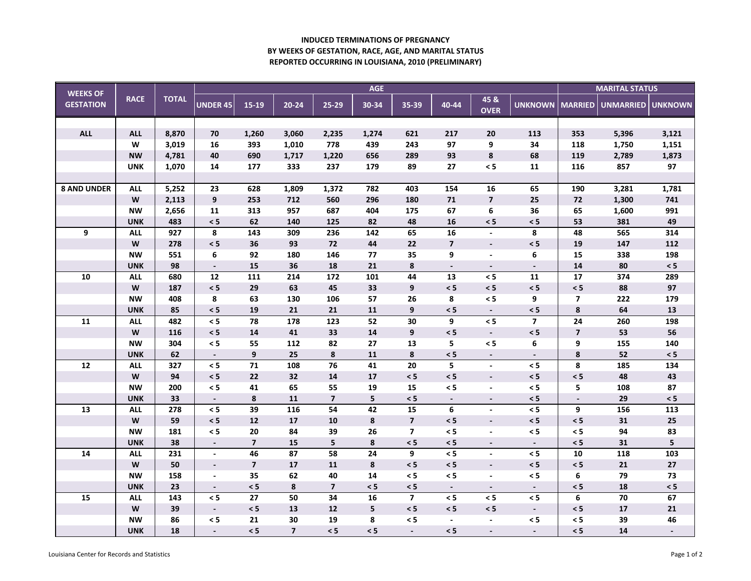## **INDUCED TERMINATIONS OF PREGNANC Y BY WEEKS OF GESTATION, RACE, AGE, AND MARITAL STATUS REPORTED OCCURRING IN LOUISIANA, 2010 (PRELIMINARY)**

| <b>WEEKS OF</b><br><b>GESTATION</b> | <b>RACE</b>                                                                           | <b>TOTAL</b> | <b>AGE</b>               |                 |                |                         |                 |                         |                          |                          |                          |                         | <b>MARITAL STATUS</b> |            |  |
|-------------------------------------|---------------------------------------------------------------------------------------|--------------|--------------------------|-----------------|----------------|-------------------------|-----------------|-------------------------|--------------------------|--------------------------|--------------------------|-------------------------|-----------------------|------------|--|
|                                     |                                                                                       |              | <b>UNDER 45</b>          | 15-19           | $20 - 24$      | $25-29$                 | 30-34           | 35-39                   | 40-44                    | 45 &<br><b>OVER</b>      | UNKNOWN   MARRIED        |                         | UNMARRIED UNKNOWN     |            |  |
|                                     |                                                                                       |              |                          |                 |                |                         |                 |                         |                          |                          |                          |                         |                       |            |  |
| <b>ALL</b>                          | <b>ALL</b>                                                                            | 8,870        | 70                       | 1,260           | 3,060          | 2,235                   | 1,274           | 621                     | 217                      | 20                       | 113                      | 353                     | 5,396                 | 3,121      |  |
|                                     | W                                                                                     | 3,019        | 16                       | 393             | 1,010          | 778                     | 439             | 243                     | 97                       | 9                        | 34                       | 118                     | 1,750                 | 1,151      |  |
|                                     | <b>NW</b>                                                                             | 4,781        | 40                       | 690             | 1,717          | 1,220                   | 656             | 289                     | 93                       | 8                        | 68                       | 119                     | 2,789                 | 1,873      |  |
|                                     | <b>UNK</b>                                                                            | 1,070        | 14                       | 177             | 333            | 237                     | 179             | 89                      | $27\,$                   | $\leq 5$                 | 11                       | 116                     | 857                   | 97         |  |
|                                     |                                                                                       |              |                          |                 |                |                         |                 |                         |                          |                          |                          |                         |                       |            |  |
| <b>8 AND UNDER</b>                  | <b>ALL</b>                                                                            | 5,252        | 23                       | 628             | 1,809          | 1,372                   | 782             | 403                     | 154                      | 16                       | 65                       | 190                     | 3,281                 | 1,781      |  |
|                                     | W                                                                                     | 2,113        | $\boldsymbol{9}$         | 253             | 712            | 560                     | 296             | 180                     | ${\bf 71}$               | $\overline{7}$           | 25                       | 72                      | 1,300                 | 741        |  |
|                                     | <b>NW</b>                                                                             | 2,656        | 11                       | 313             | 957            | 687                     | 404             | 175                     | 67                       | 6                        | 36                       | 65                      | 1,600                 | 991        |  |
|                                     | <b>UNK</b>                                                                            | 483          | < 5                      | 62              | 140            | 125                     | 82              | 48                      | 16                       | $\leq 5$                 | $\leq 5$                 | 53                      | 381                   | 49         |  |
| 9                                   | <b>ALL</b>                                                                            | 927          | 8                        | 143             | 309            | 236                     | 142             | 65                      | 16                       | $\blacksquare$           | 8                        | 48                      | 565                   | 314        |  |
|                                     | W                                                                                     | 278          | $\leq 5$                 | 36              | 93             | $\bf 72$                | 44              | 22                      | $\overline{\mathbf{z}}$  | $\overline{\phantom{a}}$ | $\leq 5$                 | 19                      | 147                   | 112        |  |
|                                     | <b>NW</b>                                                                             | 551          | 6                        | 92              | 180            | 146                     | 77              | 35                      | 9                        | $\blacksquare$           | 6                        | 15                      | 338                   | 198        |  |
|                                     | <b>UNK</b>                                                                            | 98           | $\overline{\phantom{a}}$ | 15              | 36             | 18                      | 21              | 8                       | $\sim$                   | $\overline{\phantom{a}}$ | $\overline{\phantom{a}}$ | 14                      | 80                    | $\leq 5$   |  |
| 10                                  | <b>ALL</b>                                                                            | 680          | 12                       | 111             | 214            | 172                     | 101             | 44                      | 13                       | $\leq 5$                 | 11                       | 17                      | 374                   | 289        |  |
|                                     | $\mathsf{W}% _{T}=\mathsf{W}_{T}\!\left( a,b\right) ,\ \mathsf{W}_{T}=\mathsf{W}_{T}$ | 187          | $\leq 5$                 | 29              | 63             | 45                      | 33              | 9                       | $\leq 5$                 | $\leq 5$                 | $\leq 5$                 | $\leq$ 5                | 88                    | 97         |  |
|                                     | <b>NW</b>                                                                             | 408          | $\pmb{8}$                | 63              | 130            | 106                     | 57              | 26                      | 8                        | $\leq 5$                 | 9                        | $\overline{\mathbf{z}}$ | 222                   | 179        |  |
|                                     | <b>UNK</b>                                                                            | 85           | $\leq 5$                 | 19              | 21             | 21                      | 11              | 9                       | < 5                      | $\overline{\phantom{a}}$ | < 5                      | 8                       | 64                    | 13         |  |
| $\overline{11}$                     | <b>ALL</b>                                                                            | 482          | $\leq 5$                 | 78              | 178            | 123                     | 52              | $\overline{30}$         | 9                        | $\overline{5}$           | $\overline{\mathbf{z}}$  | 24                      | 260                   | 198        |  |
|                                     | W                                                                                     | 116          | $\leq 5$                 | 14              | 41             | 33                      | 14              | 9                       | < 5                      | $\blacksquare$           | $\leq 5$                 | $\overline{7}$          | 53                    | 56         |  |
|                                     | <b>NW</b>                                                                             | 304          | < 5                      | 55              | 112            | 82                      | 27              | 13                      | 5                        | $\leq$ 5                 | 6                        | 9                       | 155                   | 140        |  |
|                                     | <b>UNK</b>                                                                            | 62           | $\overline{\phantom{a}}$ | 9               | 25             | 8                       | 11              | 8                       | < 5                      | $\blacksquare$           | $\blacksquare$           | 8                       | 52                    | $\leq 5$   |  |
| ${\bf 12}$                          | <b>ALL</b>                                                                            | 327          | $\leq 5$                 | $\overline{71}$ | 108            | 76                      | $\overline{41}$ | $\overline{20}$         | 5                        | $\blacksquare$           | $\leq 5$                 | 8                       | 185                   | 134        |  |
|                                     | W                                                                                     | 94           | $\leq 5$                 | 22              | 32             | 14                      | 17              | $\leq$ 5                | $\leq 5$                 | $\overline{\phantom{a}}$ | $\leq 5$                 | < 5                     | 48                    | 43         |  |
|                                     | <b>NW</b>                                                                             | 200          | < 5                      | 41              | 65             | 55                      | 19              | 15                      | < 5                      | $\blacksquare$           | $\leq 5$                 | 5                       | 108                   | 87         |  |
|                                     | <b>UNK</b>                                                                            | 33           | $\overline{\phantom{a}}$ | 8               | 11             | $\overline{\mathbf{z}}$ | 5               | $\leq 5$                | $\blacksquare$           | $\overline{\phantom{a}}$ | $\leq 5$                 | $\blacksquare$          | 29                    | $\leq 5$   |  |
| 13                                  | <b>ALL</b>                                                                            | 278          | $\leq 5$                 | $\overline{39}$ | 116            | 54                      | 42              | $\overline{15}$         | 6                        | $\blacksquare$           | $\leq 5$                 | 9                       | 156                   | 113        |  |
|                                     | $\mathsf{W}% _{T}=\mathsf{W}_{T}\!\left( a,b\right) ,\ \mathsf{W}_{T}=\mathsf{W}_{T}$ | 59           | $\leq 5$                 | 12              | 17             | 10                      | 8               | $\overline{\mathbf{z}}$ | $\leq 5$                 | $\blacksquare$           | $\leq 5$                 | $\leq$ 5                | 31                    | ${\bf 25}$ |  |
|                                     | <b>NW</b>                                                                             | 181          | $\leq 5$                 | 20              | 84             | 39                      | 26              | $\overline{7}$          | < 5                      | $\overline{\phantom{a}}$ | < 5                      | $\leq$ 5                | 94                    | 83         |  |
|                                     | <b>UNK</b>                                                                            | 38           | $\blacksquare$           | $\overline{7}$  | 15             | 5                       | 8               | $\leq 5$                | $\leq 5$                 | $\blacksquare$           | $\overline{\phantom{a}}$ | < 5                     | 31                    | 5          |  |
| 14                                  | <b>ALL</b>                                                                            | 231          | $\blacksquare$           | 46              | 87             | 58                      | 24              | 9                       | < 5                      | $\blacksquare$           | $\leq 5$                 | 10                      | 118                   | 103        |  |
|                                     | W                                                                                     | 50           | $\overline{\phantom{a}}$ | $\overline{7}$  | 17             | 11                      | 8               | $\leq 5$                | < 5                      | $\overline{\phantom{a}}$ | $\leq 5$                 | < 5                     | 21                    | 27         |  |
|                                     | <b>NW</b>                                                                             | 158          | $\overline{\phantom{a}}$ | 35              | 62             | 40                      | 14              | $\leq 5$                | $\leq 5$                 | $\blacksquare$           | $\leq 5$                 | 6                       | 79                    | 73         |  |
|                                     | <b>UNK</b>                                                                            | 23           | $\overline{\phantom{a}}$ | < 5             | 8              | $\overline{\mathbf{z}}$ | $\leq 5$        | $\leq 5$                | $\overline{\phantom{a}}$ | $\blacksquare$           | $\overline{\phantom{a}}$ | < 5                     | 18                    | $\leq 5$   |  |
| 15                                  | <b>ALL</b>                                                                            | 143          | < 5                      | 27              | 50             | 34                      | 16              | $\overline{\mathbf{z}}$ | $\leq$ 5                 | $\leq 5$                 | $\leq 5$                 | 6                       | 70                    | 67         |  |
|                                     | $\mathsf{W}% _{T}=\mathsf{W}_{T}\!\left( a,b\right) ,\ \mathsf{W}_{T}=\mathsf{W}_{T}$ | 39           | $\overline{\phantom{a}}$ | < 5             | 13             | ${\bf 12}$              | 5               | $\leq 5$                | < 5                      | $\leq 5$                 | $\overline{\phantom{0}}$ | $\leq$ 5                | 17                    | ${\bf 21}$ |  |
|                                     | <b>NW</b>                                                                             | 86           | $\leq 5$                 | 21              | 30             | 19                      | 8               | $\leq 5$                | $\blacksquare$           | $\blacksquare$           | $\leq 5$                 | $\leq$ 5                | 39                    | 46         |  |
|                                     | <b>UNK</b>                                                                            | 18           | $\blacksquare$           | < 5             | $\overline{7}$ | < 5                     | < 5             | $\blacksquare$          | < 5                      |                          |                          | $\leq$ 5                | 14                    |            |  |